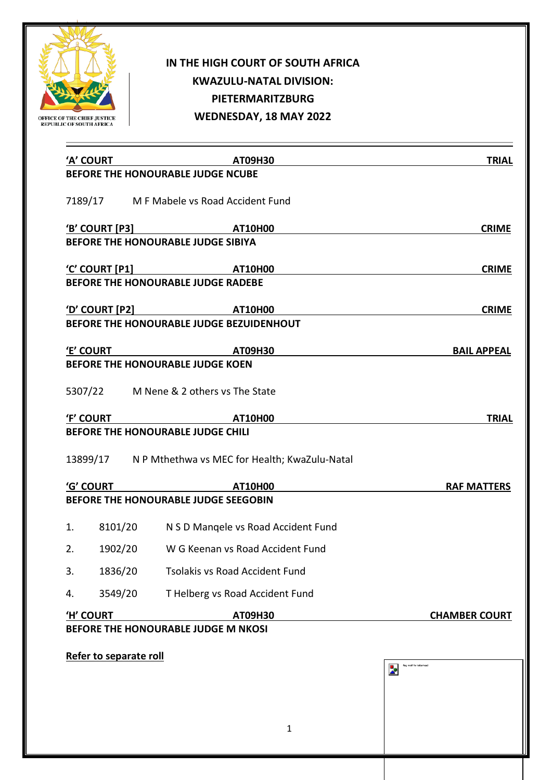

## **IN THE HIGH COURT OF SOUTH AFRICA KWAZULU-NATAL DIVISION: PIETERMARITZBURG WEDNESDAY, 18 MAY 2022**

| 'A' COURT              |         | $ATO9H3O$ and a set of the set of the set of the set of the set of the set of the set of the set of the set of the set of the set of the set of the set of the set of the set of the set of the set of the set of the set of t | <b>TRIAL</b>                                         |
|------------------------|---------|--------------------------------------------------------------------------------------------------------------------------------------------------------------------------------------------------------------------------------|------------------------------------------------------|
|                        |         | BEFORE THE HONOURABLE JUDGE NCUBE                                                                                                                                                                                              |                                                      |
|                        |         | 7189/17 M F Mabele vs Road Accident Fund                                                                                                                                                                                       |                                                      |
|                        |         |                                                                                                                                                                                                                                | <b>CRIME</b>                                         |
|                        |         | BEFORE THE HONOURABLE JUDGE SIBIYA                                                                                                                                                                                             |                                                      |
|                        |         | <u>'C' COURT [P1]</u> AT10H00                                                                                                                                                                                                  | <b>CRIME</b>                                         |
|                        |         | BEFORE THE HONOURABLE JUDGE RADEBE                                                                                                                                                                                             |                                                      |
|                        |         | <u>'D' COURT [P2]</u> AT10H00                                                                                                                                                                                                  | <b>CRIME</b>                                         |
|                        |         | BEFORE THE HONOURABLE JUDGE BEZUIDENHOUT                                                                                                                                                                                       |                                                      |
| 'E' COURT              |         | AT09H30                                                                                                                                                                                                                        | <b>BAIL APPEAL</b>                                   |
|                        |         | <b>BEFORE THE HONOURABLE JUDGE KOEN</b>                                                                                                                                                                                        |                                                      |
|                        |         | 5307/22 M Nene & 2 others vs The State                                                                                                                                                                                         |                                                      |
| 'F' COURT              |         | AT10H00                                                                                                                                                                                                                        | <b>TRIAL</b>                                         |
|                        |         | BEFORE THE HONOURABLE JUDGE CHILI                                                                                                                                                                                              |                                                      |
|                        |         | 13899/17 N P Mthethwa vs MEC for Health; KwaZulu-Natal                                                                                                                                                                         |                                                      |
| 'G' COURT              |         | <b>AT10H00</b>                                                                                                                                                                                                                 | <b>RAF MATTERS</b>                                   |
|                        |         | BEFORE THE HONOURABLE JUDGE SEEGOBIN                                                                                                                                                                                           |                                                      |
| 1.                     |         | 8101/20 N S D Mangele vs Road Accident Fund                                                                                                                                                                                    |                                                      |
| 2.                     | 1902/20 | W G Keenan vs Road Accident Fund                                                                                                                                                                                               |                                                      |
| 3.                     | 1836/20 | Tsolakis vs Road Accident Fund                                                                                                                                                                                                 |                                                      |
| 4.                     | 3549/20 | T Helberg vs Road Accident Fund                                                                                                                                                                                                |                                                      |
| 'H' COURT              |         | AT09H30                                                                                                                                                                                                                        | <b>CHAMBER COURT</b>                                 |
|                        |         | BEFORE THE HONOURABLE JUDGE M NKOSI                                                                                                                                                                                            |                                                      |
| Refer to separate roll |         |                                                                                                                                                                                                                                |                                                      |
|                        |         |                                                                                                                                                                                                                                | flag motif for letterhead<br>$\overline{\mathbf{z}}$ |
|                        |         |                                                                                                                                                                                                                                |                                                      |
|                        |         |                                                                                                                                                                                                                                |                                                      |
|                        |         | 1                                                                                                                                                                                                                              |                                                      |
|                        |         |                                                                                                                                                                                                                                |                                                      |